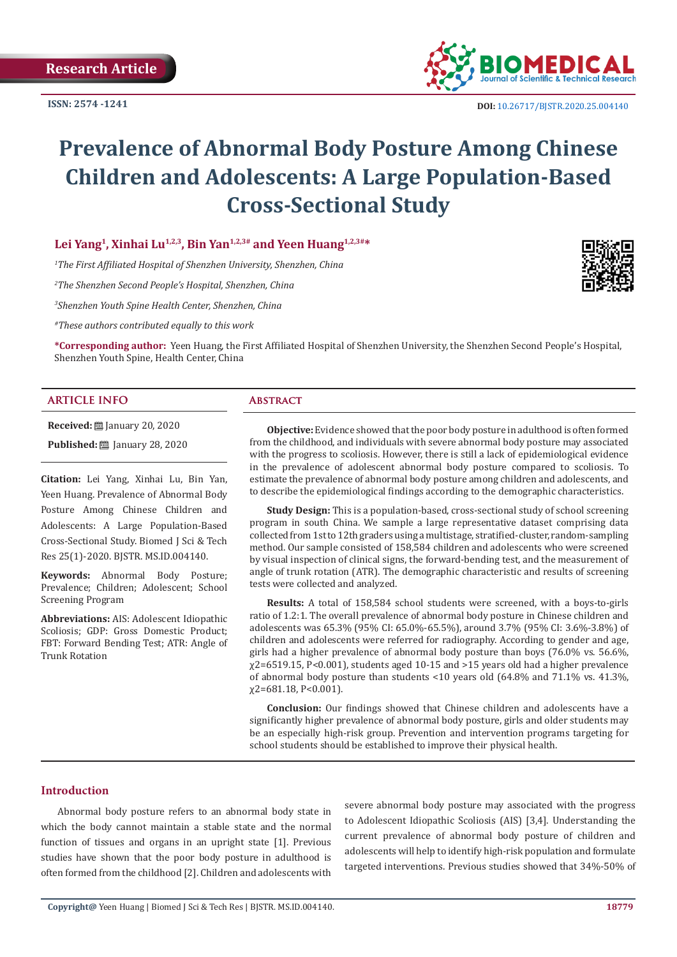

# **Prevalence of Abnormal Body Posture Among Chinese Children and Adolescents: A Large Population-Based Cross-Sectional Study**

Lei Yang<sup>1</sup>, Xinhai Lu<sup>1,2,3</sup>, Bin Yan<sup>1,2,3#</sup> and Yeen Huang<sup>1,2,3#\*</sup>

*1 The First Affiliated Hospital of Shenzhen University, Shenzhen, China*

*2 The Shenzhen Second People's Hospital, Shenzhen, China*

*3 Shenzhen Youth Spine Health Center, Shenzhen, China*

*#These authors contributed equally to this work*

**\*Corresponding author:** Yeen Huang, the First Affiliated Hospital of Shenzhen University, the Shenzhen Second People's Hospital, Shenzhen Youth Spine, Health Center, China

### **ARTICLE INFO Abstract**

**Received:** [20] January 20, 2020

**Published: <u>January</u>** 28, 2020

**Citation:** Lei Yang, Xinhai Lu, Bin Yan, Yeen Huang. Prevalence of Abnormal Body Posture Among Chinese Children and Adolescents: A Large Population-Based Cross-Sectional Study. Biomed J Sci & Tech Res 25(1)-2020. BJSTR. MS.ID.004140.

**Keywords:** Abnormal Body Posture; Prevalence; Children; Adolescent; School Screening Program

**Abbreviations:** AIS: Adolescent Idiopathic Scoliosis; GDP: Gross Domestic Product; FBT: Forward Bending Test; ATR: Angle of Trunk Rotation

**Objective:** Evidence showed that the poor body posture in adulthood is often formed from the childhood, and individuals with severe abnormal body posture may associated with the progress to scoliosis. However, there is still a lack of epidemiological evidence in the prevalence of adolescent abnormal body posture compared to scoliosis. To estimate the prevalence of abnormal body posture among children and adolescents, and to describe the epidemiological findings according to the demographic characteristics.

**Study Design:** This is a population-based, cross-sectional study of school screening program in south China. We sample a large representative dataset comprising data collected from 1st to 12th graders using a multistage, stratified-cluster, random-sampling method. Our sample consisted of 158,584 children and adolescents who were screened by visual inspection of clinical signs, the forward-bending test, and the measurement of angle of trunk rotation (ATR). The demographic characteristic and results of screening tests were collected and analyzed.

**Results:** A total of 158,584 school students were screened, with a boys-to-girls ratio of 1.2:1. The overall prevalence of abnormal body posture in Chinese children and adolescents was 65.3% (95% CI: 65.0%-65.5%), around 3.7% (95% CI: 3.6%-3.8%) of children and adolescents were referred for radiography. According to gender and age, girls had a higher prevalence of abnormal body posture than boys (76.0% vs. 56.6%, χ2=6519.15, P<0.001), students aged 10-15 and >15 years old had a higher prevalence of abnormal body posture than students <10 years old (64.8% and 71.1% vs. 41.3%, χ2=681.18, P<0.001).

**Conclusion:** Our findings showed that Chinese children and adolescents have a significantly higher prevalence of abnormal body posture, girls and older students may be an especially high-risk group. Prevention and intervention programs targeting for school students should be established to improve their physical health.

### **Introduction**

Abnormal body posture refers to an abnormal body state in which the body cannot maintain a stable state and the normal function of tissues and organs in an upright state [1]. Previous studies have shown that the poor body posture in adulthood is often formed from the childhood [2]. Children and adolescents with

severe abnormal body posture may associated with the progress to Adolescent Idiopathic Scoliosis (AIS) [3,4]. Understanding the current prevalence of abnormal body posture of children and adolescents will help to identify high-risk population and formulate targeted interventions. Previous studies showed that 34%-50% of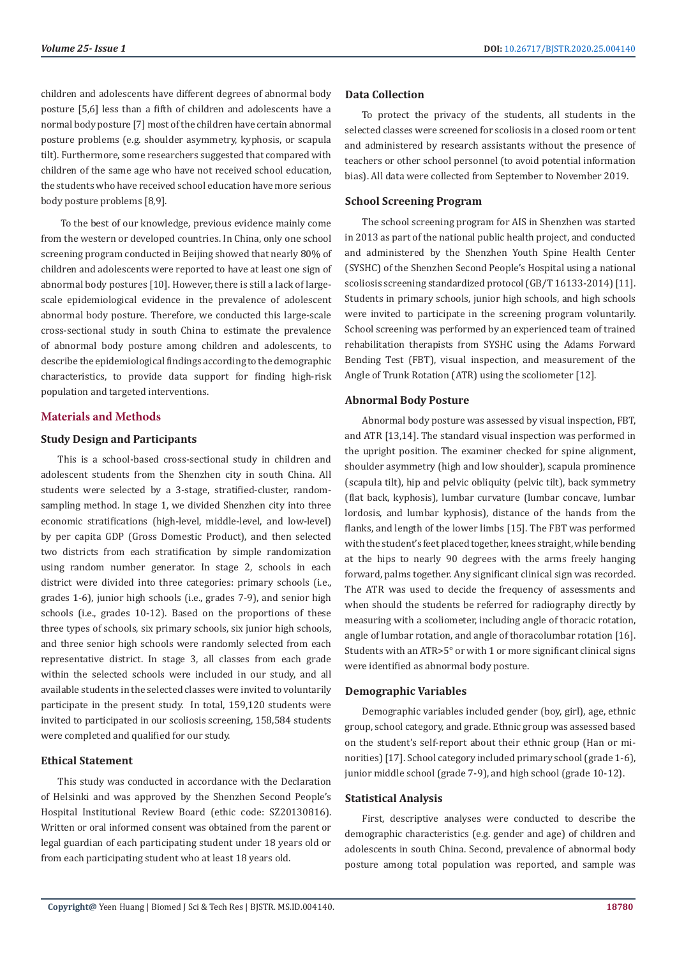children and adolescents have different degrees of abnormal body posture [5,6] less than a fifth of children and adolescents have a normal body posture [7] most of the children have certain abnormal posture problems (e.g. shoulder asymmetry, kyphosis, or scapula tilt). Furthermore, some researchers suggested that compared with children of the same age who have not received school education, the students who have received school education have more serious body posture problems [8,9].

 To the best of our knowledge, previous evidence mainly come from the western or developed countries. In China, only one school screening program conducted in Beijing showed that nearly 80% of children and adolescents were reported to have at least one sign of abnormal body postures [10]. However, there is still a lack of largescale epidemiological evidence in the prevalence of adolescent abnormal body posture. Therefore, we conducted this large-scale cross-sectional study in south China to estimate the prevalence of abnormal body posture among children and adolescents, to describe the epidemiological findings according to the demographic characteristics, to provide data support for finding high-risk population and targeted interventions.

### **Materials and Methods**

### **Study Design and Participants**

This is a school-based cross-sectional study in children and adolescent students from the Shenzhen city in south China. All students were selected by a 3-stage, stratified-cluster, randomsampling method. In stage 1, we divided Shenzhen city into three economic stratifications (high-level, middle-level, and low-level) by per capita GDP (Gross Domestic Product), and then selected two districts from each stratification by simple randomization using random number generator. In stage 2, schools in each district were divided into three categories: primary schools (i.e., grades 1-6), junior high schools (i.e., grades 7-9), and senior high schools (i.e., grades 10-12). Based on the proportions of these three types of schools, six primary schools, six junior high schools, and three senior high schools were randomly selected from each representative district. In stage 3, all classes from each grade within the selected schools were included in our study, and all available students in the selected classes were invited to voluntarily participate in the present study. In total, 159,120 students were invited to participated in our scoliosis screening, 158,584 students were completed and qualified for our study.

### **Ethical Statement**

This study was conducted in accordance with the Declaration of Helsinki and was approved by the Shenzhen Second People's Hospital Institutional Review Board (ethic code: SZ20130816). Written or oral informed consent was obtained from the parent or legal guardian of each participating student under 18 years old or from each participating student who at least 18 years old.

### **Data Collection**

To protect the privacy of the students, all students in the selected classes were screened for scoliosis in a closed room or tent and administered by research assistants without the presence of teachers or other school personnel (to avoid potential information bias). All data were collected from September to November 2019.

### **School Screening Program**

The school screening program for AIS in Shenzhen was started in 2013 as part of the national public health project, and conducted and administered by the Shenzhen Youth Spine Health Center (SYSHC) of the Shenzhen Second People's Hospital using a national scoliosis screening standardized protocol (GB/T 16133-2014) [11]. Students in primary schools, junior high schools, and high schools were invited to participate in the screening program voluntarily. School screening was performed by an experienced team of trained rehabilitation therapists from SYSHC using the Adams Forward Bending Test (FBT), visual inspection, and measurement of the Angle of Trunk Rotation (ATR) using the scoliometer [12].

### **Abnormal Body Posture**

Abnormal body posture was assessed by visual inspection, FBT, and ATR [13,14]. The standard visual inspection was performed in the upright position. The examiner checked for spine alignment, shoulder asymmetry (high and low shoulder), scapula prominence (scapula tilt), hip and pelvic obliquity (pelvic tilt), back symmetry (flat back, kyphosis), lumbar curvature (lumbar concave, lumbar lordosis, and lumbar kyphosis), distance of the hands from the flanks, and length of the lower limbs [15]. The FBT was performed with the student's feet placed together, knees straight, while bending at the hips to nearly 90 degrees with the arms freely hanging forward, palms together. Any significant clinical sign was recorded. The ATR was used to decide the frequency of assessments and when should the students be referred for radiography directly by measuring with a scoliometer, including angle of thoracic rotation, angle of lumbar rotation, and angle of thoracolumbar rotation [16]. Students with an ATR>5° or with 1 or more significant clinical signs were identified as abnormal body posture.

#### **Demographic Variables**

Demographic variables included gender (boy, girl), age, ethnic group, school category, and grade. Ethnic group was assessed based on the student's self-report about their ethnic group (Han or minorities) [17]. School category included primary school (grade 1-6), junior middle school (grade 7-9), and high school (grade 10-12).

### **Statistical Analysis**

First, descriptive analyses were conducted to describe the demographic characteristics (e.g. gender and age) of children and adolescents in south China. Second, prevalence of abnormal body posture among total population was reported, and sample was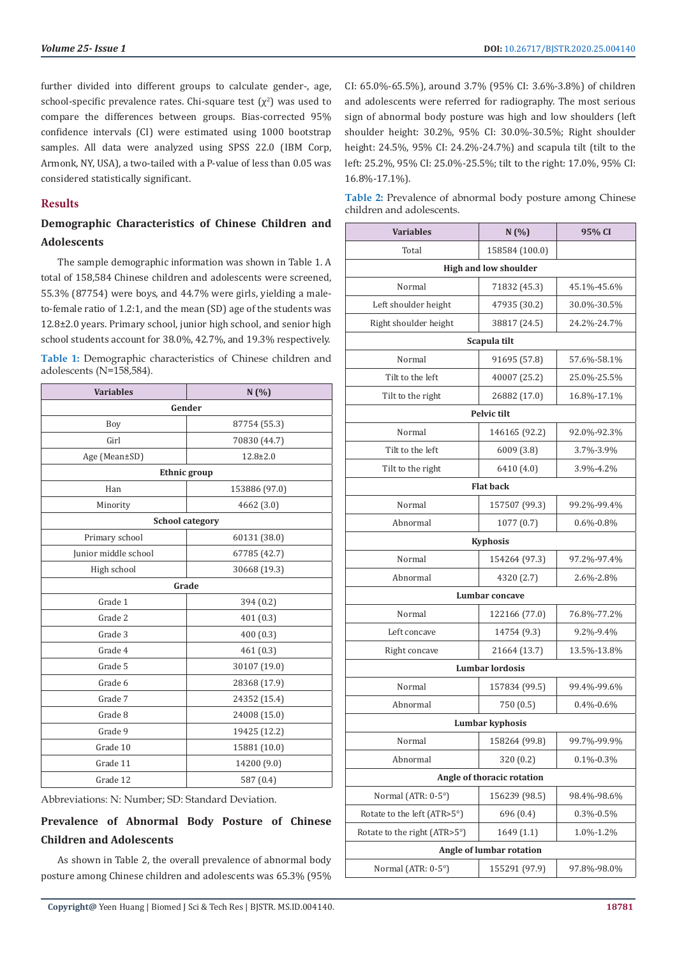further divided into different groups to calculate gender-, age, school-specific prevalence rates. Chi-square test  $(\chi^2)$  was used to compare the differences between groups. Bias-corrected 95% confidence intervals (CI) were estimated using 1000 bootstrap samples. All data were analyzed using SPSS 22.0 (IBM Corp, Armonk, NY, USA), a two-tailed with a P-value of less than 0.05 was considered statistically significant.

### **Results**

### **Demographic Characteristics of Chinese Children and Adolescents**

The sample demographic information was shown in Table 1. A total of 158,584 Chinese children and adolescents were screened, 55.3% (87754) were boys, and 44.7% were girls, yielding a maleto-female ratio of 1.2:1, and the mean (SD) age of the students was 12.8±2.0 years. Primary school, junior high school, and senior high school students account for 38.0%, 42.7%, and 19.3% respectively.

**Table 1:** Demographic characteristics of Chinese children and adolescents (N=158,584).

| <b>Variables</b>     | N(%)                   |  |  |  |
|----------------------|------------------------|--|--|--|
| Gender               |                        |  |  |  |
| Boy                  | 87754 (55.3)           |  |  |  |
| Girl                 | 70830 (44.7)           |  |  |  |
| Age (Mean±SD)        | $12.8 \pm 2.0$         |  |  |  |
|                      | Ethnic group           |  |  |  |
| Han                  | 153886 (97.0)          |  |  |  |
| Minority             | 4662 (3.0)             |  |  |  |
|                      | <b>School category</b> |  |  |  |
| Primary school       | 60131 (38.0)           |  |  |  |
| Junior middle school | 67785 (42.7)           |  |  |  |
| High school          | 30668 (19.3)           |  |  |  |
|                      | Grade                  |  |  |  |
| Grade 1              | 394 (0.2)              |  |  |  |
| Grade 2              | 401(0.3)               |  |  |  |
| Grade 3              | 400 (0.3)              |  |  |  |
| Grade 4              | 461 (0.3)              |  |  |  |
| Grade 5              | 30107 (19.0)           |  |  |  |
| Grade 6              | 28368 (17.9)           |  |  |  |
| Grade 7              | 24352 (15.4)           |  |  |  |
| Grade 8              | 24008 (15.0)           |  |  |  |
| Grade 9              | 19425 (12.2)           |  |  |  |
| Grade 10             | 15881 (10.0)           |  |  |  |
| Grade 11             | 14200 (9.0)            |  |  |  |
| Grade 12             | 587 (0.4)              |  |  |  |

Abbreviations: N: Number; SD: Standard Deviation.

## **Prevalence of Abnormal Body Posture of Chinese Children and Adolescents**

As shown in Table 2, the overall prevalence of abnormal body posture among Chinese children and adolescents was 65.3% (95% CI: 65.0%-65.5%), around 3.7% (95% CI: 3.6%-3.8%) of children and adolescents were referred for radiography. The most serious sign of abnormal body posture was high and low shoulders (left shoulder height: 30.2%, 95% CI: 30.0%-30.5%; Right shoulder height: 24.5%, 95% CI: 24.2%-24.7%) and scapula tilt (tilt to the left: 25.2%, 95% CI: 25.0%-25.5%; tilt to the right: 17.0%, 95% CI: 16.8%-17.1%).

| Table 2: Prevalence of abnormal body posture among Chinese |  |  |
|------------------------------------------------------------|--|--|
| children and adolescents.                                  |  |  |

| <b>Variables</b>             | N(%)                   | 95% CI          |  |  |  |
|------------------------------|------------------------|-----------------|--|--|--|
| Total                        | 158584 (100.0)         |                 |  |  |  |
| <b>High and low shoulder</b> |                        |                 |  |  |  |
| Normal                       | 71832 (45.3)           | 45.1%-45.6%     |  |  |  |
| Left shoulder height         | 47935 (30.2)           | 30.0%-30.5%     |  |  |  |
| Right shoulder height        | 38817 (24.5)           | 24.2%-24.7%     |  |  |  |
|                              | Scapula tilt           |                 |  |  |  |
| Normal                       | 91695 (57.8)           | 57.6%-58.1%     |  |  |  |
| Tilt to the left             | 40007 (25.2)           | 25.0%-25.5%     |  |  |  |
| Tilt to the right            | 26882 (17.0)           | 16.8%-17.1%     |  |  |  |
|                              | Pelvic tilt            |                 |  |  |  |
| Normal                       | 146165 (92.2)          | 92.0%-92.3%     |  |  |  |
| Tilt to the left             | 6009 (3.8)             | 3.7%-3.9%       |  |  |  |
| Tilt to the right            | 6410 (4.0)             | 3.9%-4.2%       |  |  |  |
|                              | <b>Flat back</b>       |                 |  |  |  |
| Normal                       | 157507 (99.3)          | 99.2%-99.4%     |  |  |  |
| Abnormal                     | 1077(0.7)              | $0.6\% - 0.8\%$ |  |  |  |
|                              | Kyphosis               |                 |  |  |  |
| Normal                       | 154264 (97.3)          | 97.2%-97.4%     |  |  |  |
| Abnormal                     | 4320 (2.7)             | 2.6%-2.8%       |  |  |  |
|                              | Lumbar concave         |                 |  |  |  |
| Normal                       | 122166 (77.0)          | 76.8%-77.2%     |  |  |  |
| Left concave                 | 14754 (9.3)            | 9.2%-9.4%       |  |  |  |
| Right concave                | 21664 (13.7)           | 13.5%-13.8%     |  |  |  |
|                              | <b>Lumbar lordosis</b> |                 |  |  |  |
| Normal                       | 157834 (99.5)          | 99.4%-99.6%     |  |  |  |
| Abnormal                     | 750 (0.5)              | $0.4\% - 0.6\%$ |  |  |  |
| Lumbar kyphosis              |                        |                 |  |  |  |
| Normal                       | 158264 (99.8)          | 99.7%-99.9%     |  |  |  |
| Abnormal                     | 320 (0.2)              | 0.1%-0.3%       |  |  |  |
| Angle of thoracic rotation   |                        |                 |  |  |  |
| Normal (ATR: 0-5°)           | 156239 (98.5)          | 98.4%-98.6%     |  |  |  |
| Rotate to the left (ATR>5°)  | 696 (0.4)              | 0.3%-0.5%       |  |  |  |
| Rotate to the right (ATR>5°) | 1649 (1.1)             | 1.0%-1.2%       |  |  |  |
| Angle of lumbar rotation     |                        |                 |  |  |  |
| Normal (ATR: 0-5°)           | 155291 (97.9)          | 97.8%-98.0%     |  |  |  |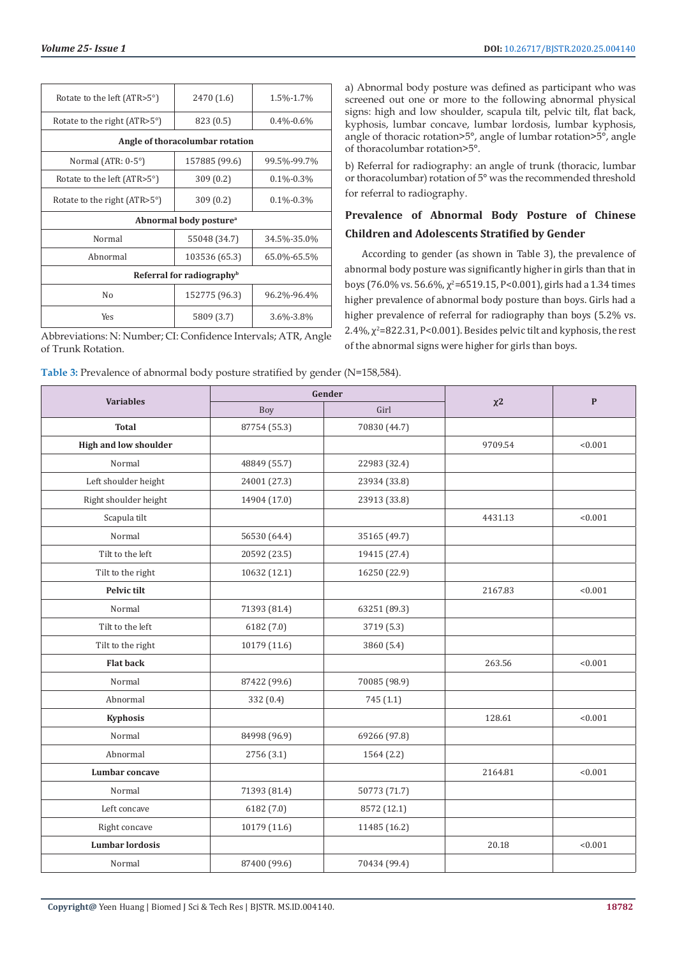| Rotate to the left (ATR>5°)           | 2470 (1.6)                      | 1.5%-1.7%       |  |  |  |  |
|---------------------------------------|---------------------------------|-----------------|--|--|--|--|
| Rotate to the right $(ATR>5^{\circ})$ | 823 (0.5)<br>$0.4\% - 0.6\%$    |                 |  |  |  |  |
|                                       | Angle of thoracolumbar rotation |                 |  |  |  |  |
| Normal (ATR: $0-5^\circ$ )            | 157885 (99.6)                   | 99.5%-99.7%     |  |  |  |  |
| Rotate to the left (ATR>5°)           | 309(0.2)                        | $0.1\% - 0.3\%$ |  |  |  |  |
| Rotate to the right $(ATR>5^{\circ})$ | 309(0.2)<br>$0.1\% - 0.3\%$     |                 |  |  |  |  |
| Abnormal body posture <sup>a</sup>    |                                 |                 |  |  |  |  |
| Normal                                | 55048 (34.7)                    | 34.5%-35.0%     |  |  |  |  |
| Abnormal                              | 103536 (65.3)                   | 65.0%-65.5%     |  |  |  |  |
| Referral for radiography <sup>b</sup> |                                 |                 |  |  |  |  |
| No                                    | 152775 (96.3)                   | 96.2%-96.4%     |  |  |  |  |
| Yes                                   | 5809 (3.7)                      | 3.6%-3.8%       |  |  |  |  |

Abbreviations: N: Number; CI: Confidence Intervals; ATR, Angle of Trunk Rotation.

| Table 3: Prevalence of abnormal body posture stratified by gender (N=158,584). |  |  |
|--------------------------------------------------------------------------------|--|--|
|--------------------------------------------------------------------------------|--|--|

a) Abnormal body posture was defined as participant who was screened out one or more to the following abnormal physical signs: high and low shoulder, scapula tilt, pelvic tilt, flat back, kyphosis, lumbar concave, lumbar lordosis, lumbar kyphosis, angle of thoracic rotation>5°, angle of lumbar rotation>5°, angle of thoracolumbar rotation>5°.

b) Referral for radiography: an angle of trunk (thoracic, lumbar or thoracolumbar) rotation of 5° was the recommended threshold for referral to radiography.

### **Prevalence of Abnormal Body Posture of Chinese Children and Adolescents Stratified by Gender**

According to gender (as shown in Table 3), the prevalence of abnormal body posture was significantly higher in girls than that in boys (76.0% vs. 56.6%,  $\chi^2$ =6519.15, P<0.001), girls had a 1.34 times higher prevalence of abnormal body posture than boys. Girls had a higher prevalence of referral for radiography than boys (5.2% vs.  $2.4\%$ ,  $\chi^2$ =822.31, P<0.001). Besides pelvic tilt and kyphosis, the rest of the abnormal signs were higher for girls than boys.

| <u>∠ ⊥</u>                   |              |              |         |           |
|------------------------------|--------------|--------------|---------|-----------|
| <b>Variables</b>             |              | Gender       |         | ${\bf P}$ |
|                              | Boy          | Girl         |         |           |
| <b>Total</b>                 | 87754 (55.3) | 70830 (44.7) |         |           |
| <b>High and low shoulder</b> |              |              | 9709.54 | < 0.001   |
| Normal                       | 48849 (55.7) | 22983 (32.4) |         |           |
| Left shoulder height         | 24001 (27.3) | 23934 (33.8) |         |           |
| Right shoulder height        | 14904 (17.0) | 23913 (33.8) |         |           |
| Scapula tilt                 |              |              | 4431.13 | < 0.001   |
| Normal                       | 56530 (64.4) | 35165 (49.7) |         |           |
| Tilt to the left             | 20592 (23.5) | 19415 (27.4) |         |           |
| Tilt to the right            | 10632 (12.1) | 16250 (22.9) |         |           |
| Pelvic tilt                  |              |              | 2167.83 | < 0.001   |
| Normal                       | 71393 (81.4) | 63251 (89.3) |         |           |
| Tilt to the left             | 6182 (7.0)   | 3719 (5.3)   |         |           |
| Tilt to the right            | 10179 (11.6) | 3860 (5.4)   |         |           |
| <b>Flat back</b>             |              |              | 263.56  | < 0.001   |
| Normal                       | 87422 (99.6) | 70085 (98.9) |         |           |
| Abnormal                     | 332 (0.4)    | 745 (1.1)    |         |           |
| Kyphosis                     |              |              | 128.61  | < 0.001   |
| Normal                       | 84998 (96.9) | 69266 (97.8) |         |           |
| Abnormal                     | 2756 (3.1)   | 1564 (2.2)   |         |           |
| Lumbar concave               |              |              | 2164.81 | < 0.001   |
| Normal                       | 71393 (81.4) | 50773 (71.7) |         |           |
| Left concave                 | 6182 (7.0)   | 8572 (12.1)  |         |           |
| Right concave                | 10179 (11.6) | 11485 (16.2) |         |           |
| <b>Lumbar lordosis</b>       |              |              | 20.18   | < 0.001   |
| Normal                       | 87400 (99.6) | 70434 (99.4) |         |           |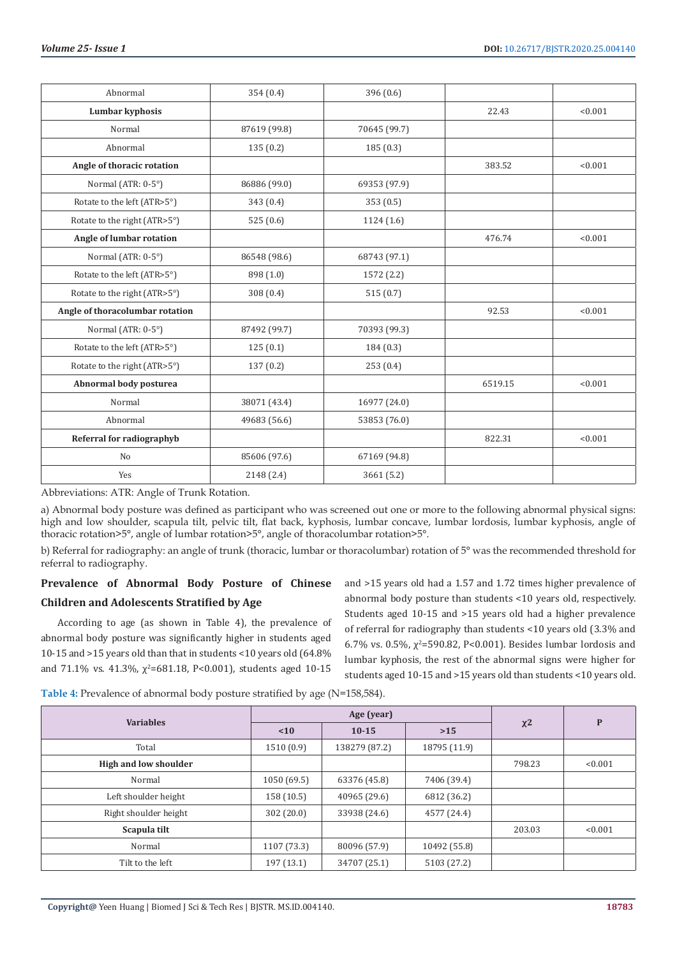| Abnormal                        | 354 (0.4)    | 396 (0.6)    |         |         |
|---------------------------------|--------------|--------------|---------|---------|
| Lumbar kyphosis                 |              |              | 22.43   | < 0.001 |
| Normal                          | 87619 (99.8) | 70645 (99.7) |         |         |
| Abnormal                        | 135(0.2)     | 185(0.3)     |         |         |
| Angle of thoracic rotation      |              |              | 383.52  | < 0.001 |
| Normal (ATR: 0-5°)              | 86886 (99.0) | 69353 (97.9) |         |         |
| Rotate to the left (ATR>5°)     | 343(0.4)     | 353(0.5)     |         |         |
| Rotate to the right (ATR>5°)    | 525(0.6)     | 1124(1.6)    |         |         |
| Angle of lumbar rotation        |              |              | 476.74  | < 0.001 |
| Normal (ATR: 0-5°)              | 86548 (98.6) | 68743 (97.1) |         |         |
| Rotate to the left (ATR>5°)     | 898 (1.0)    | 1572 (2.2)   |         |         |
| Rotate to the right (ATR>5°)    | 308(0.4)     | 515(0.7)     |         |         |
| Angle of thoracolumbar rotation |              |              | 92.53   | < 0.001 |
| Normal (ATR: 0-5°)              | 87492 (99.7) | 70393 (99.3) |         |         |
| Rotate to the left (ATR>5°)     | 125(0.1)     | 184(0.3)     |         |         |
| Rotate to the right (ATR>5°)    | 137(0.2)     | 253(0.4)     |         |         |
| Abnormal body posturea          |              |              | 6519.15 | < 0.001 |
| Normal                          | 38071 (43.4) | 16977 (24.0) |         |         |
| Abnormal                        | 49683 (56.6) | 53853 (76.0) |         |         |
| Referral for radiographyb       |              |              | 822.31  | < 0.001 |
| No                              | 85606 (97.6) | 67169 (94.8) |         |         |
| Yes                             | 2148 (2.4)   | 3661 (5.2)   |         |         |

Abbreviations: ATR: Angle of Trunk Rotation.

a) Abnormal body posture was defined as participant who was screened out one or more to the following abnormal physical signs: high and low shoulder, scapula tilt, pelvic tilt, flat back, kyphosis, lumbar concave, lumbar lordosis, lumbar kyphosis, angle of thoracic rotation>5°, angle of lumbar rotation>5°, angle of thoracolumbar rotation>5°.

b) Referral for radiography: an angle of trunk (thoracic, lumbar or thoracolumbar) rotation of 5° was the recommended threshold for referral to radiography.

### **Prevalence of Abnormal Body Posture of Chinese Children and Adolescents Stratified by Age**

According to age (as shown in Table 4), the prevalence of abnormal body posture was significantly higher in students aged 10-15 and >15 years old than that in students <10 years old (64.8% and 71.1% vs. 41.3%,  $\chi^2$ =681.18, P<0.001), students aged 10-15 and >15 years old had a 1.57 and 1.72 times higher prevalence of abnormal body posture than students <10 years old, respectively. Students aged 10-15 and >15 years old had a higher prevalence of referral for radiography than students <10 years old (3.3% and 6.7% vs. 0.5%,  $\chi^2$ =590.82, P<0.001). Besides lumbar lordosis and lumbar kyphosis, the rest of the abnormal signs were higher for students aged 10-15 and >15 years old than students <10 years old.

Table 4: Prevalence of abnormal body posture stratified by age (N=158,584).

|                              | Age (year)  |               |              |        |         |
|------------------------------|-------------|---------------|--------------|--------|---------|
| <b>Variables</b>             | < 10        | $10 - 15$     | $>15$        | $x^2$  | P       |
| Total                        | 1510(0.9)   | 138279 (87.2) | 18795 (11.9) |        |         |
| <b>High and low shoulder</b> |             |               |              | 798.23 | < 0.001 |
| Normal                       | 1050 (69.5) | 63376 (45.8)  | 7406 (39.4)  |        |         |
| Left shoulder height         | 158(10.5)   | 40965 (29.6)  | 6812 (36.2)  |        |         |
| Right shoulder height        | 302(20.0)   | 33938 (24.6)  | 4577 (24.4)  |        |         |
| Scapula tilt                 |             |               |              | 203.03 | < 0.001 |
| Normal                       | 1107 (73.3) | 80096 (57.9)  | 10492 (55.8) |        |         |
| Tilt to the left             | 197 (13.1)  | 34707 (25.1)  | 5103 (27.2)  |        |         |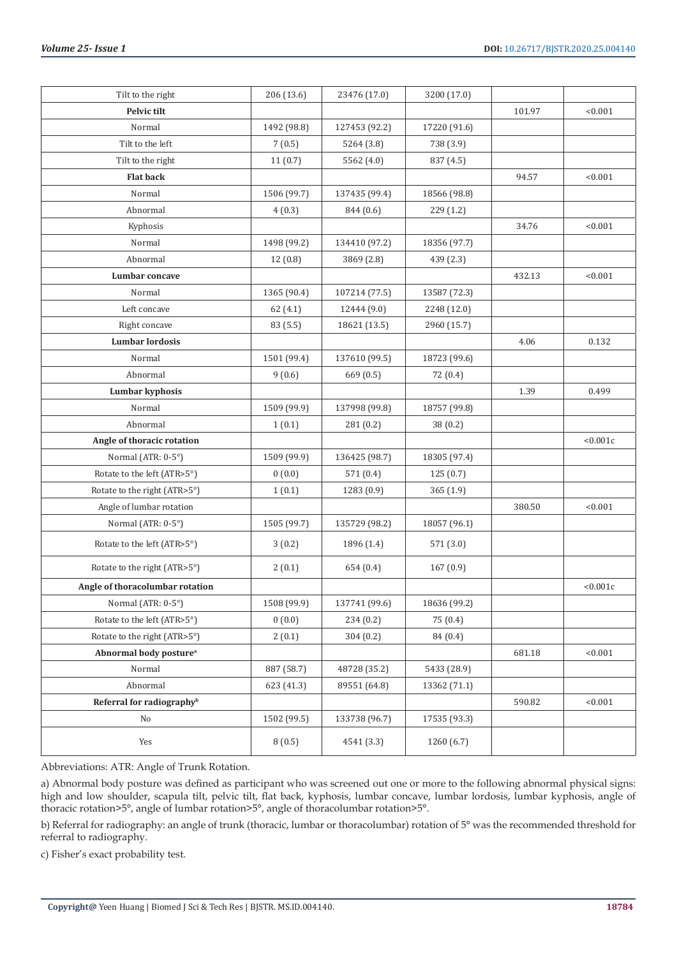| Tilt to the right                     | 206 (13.6)  | 23476 (17.0)  | 3200 (17.0)  |        |          |
|---------------------------------------|-------------|---------------|--------------|--------|----------|
| Pelvic tilt                           |             |               |              | 101.97 | < 0.001  |
| Normal                                | 1492 (98.8) | 127453 (92.2) | 17220 (91.6) |        |          |
| Tilt to the left                      | 7(0.5)      | 5264 (3.8)    | 738 (3.9)    |        |          |
| Tilt to the right                     | 11(0.7)     | 5562 (4.0)    | 837 (4.5)    |        |          |
| <b>Flat back</b>                      |             |               |              | 94.57  | < 0.001  |
| Normal                                | 1506 (99.7) | 137435 (99.4) | 18566 (98.8) |        |          |
| Abnormal                              | 4(0.3)      | 844 (0.6)     | 229(1.2)     |        |          |
| Kyphosis                              |             |               |              | 34.76  | < 0.001  |
| Normal                                | 1498 (99.2) | 134410 (97.2) | 18356 (97.7) |        |          |
| Abnormal                              | 12(0.8)     | 3869 (2.8)    | 439 (2.3)    |        |          |
| Lumbar concave                        |             |               |              | 432.13 | < 0.001  |
| Normal                                | 1365 (90.4) | 107214 (77.5) | 13587 (72.3) |        |          |
| Left concave                          | 62(4.1)     | 12444 (9.0)   | 2248 (12.0)  |        |          |
| Right concave                         | 83 (5.5)    | 18621 (13.5)  | 2960 (15.7)  |        |          |
| <b>Lumbar lordosis</b>                |             |               |              | 4.06   | 0.132    |
| Normal                                | 1501 (99.4) | 137610 (99.5) | 18723 (99.6) |        |          |
| Abnormal                              | 9(0.6)      | 669 (0.5)     | 72 (0.4)     |        |          |
| Lumbar kyphosis                       |             |               |              | 1.39   | 0.499    |
| Normal                                | 1509 (99.9) | 137998 (99.8) | 18757 (99.8) |        |          |
| Abnormal                              | 1(0.1)      | 281 (0.2)     | 38(0.2)      |        |          |
| Angle of thoracic rotation            |             |               |              |        | < 0.001c |
| Normal (ATR: 0-5°)                    | 1509 (99.9) | 136425 (98.7) | 18305 (97.4) |        |          |
| Rotate to the left (ATR>5°)           | 0(0.0)      | 571 (0.4)     | 125(0.7)     |        |          |
| Rotate to the right (ATR>5°)          | 1(0.1)      | 1283 (0.9)    | 365(1.9)     |        |          |
| Angle of lumbar rotation              |             |               |              | 380.50 | < 0.001  |
| Normal (ATR: 0-5°)                    | 1505 (99.7) | 135729 (98.2) | 18057 (96.1) |        |          |
| Rotate to the left (ATR>5°)           | 3(0.2)      | 1896 (1.4)    | 571 (3.0)    |        |          |
| Rotate to the right (ATR>5°)          | 2(0.1)      | 654 (0.4)     | 167(0.9)     |        |          |
| Angle of thoracolumbar rotation       |             |               |              |        | < 0.001c |
| Normal (ATR: 0-5°)                    | 1508 (99.9) | 137741 (99.6) | 18636 (99.2) |        |          |
| Rotate to the left (ATR>5°)           | 0(0.0)      | 234 (0.2)     | 75 (0.4)     |        |          |
| Rotate to the right (ATR>5°)          | 2(0.1)      | 304 (0.2)     | 84 (0.4)     |        |          |
| Abnormal body posture <sup>a</sup>    |             |               |              | 681.18 | < 0.001  |
| Normal                                | 887 (58.7)  | 48728 (35.2)  | 5433 (28.9)  |        |          |
| Abnormal                              | 623 (41.3)  | 89551 (64.8)  | 13362 (71.1) |        |          |
| Referral for radiography <sup>b</sup> |             |               |              | 590.82 | < 0.001  |
| No                                    | 1502 (99.5) | 133738 (96.7) | 17535 (93.3) |        |          |
| Yes                                   | 8(0.5)      | 4541 (3.3)    | 1260 (6.7)   |        |          |

Abbreviations: ATR: Angle of Trunk Rotation.

a) Abnormal body posture was defined as participant who was screened out one or more to the following abnormal physical signs: high and low shoulder, scapula tilt, pelvic tilt, flat back, kyphosis, lumbar concave, lumbar lordosis, lumbar kyphosis, angle of thoracic rotation>5°, angle of lumbar rotation>5°, angle of thoracolumbar rotation>5°.

b) Referral for radiography: an angle of trunk (thoracic, lumbar or thoracolumbar) rotation of 5° was the recommended threshold for referral to radiography.

c) Fisher's exact probability test.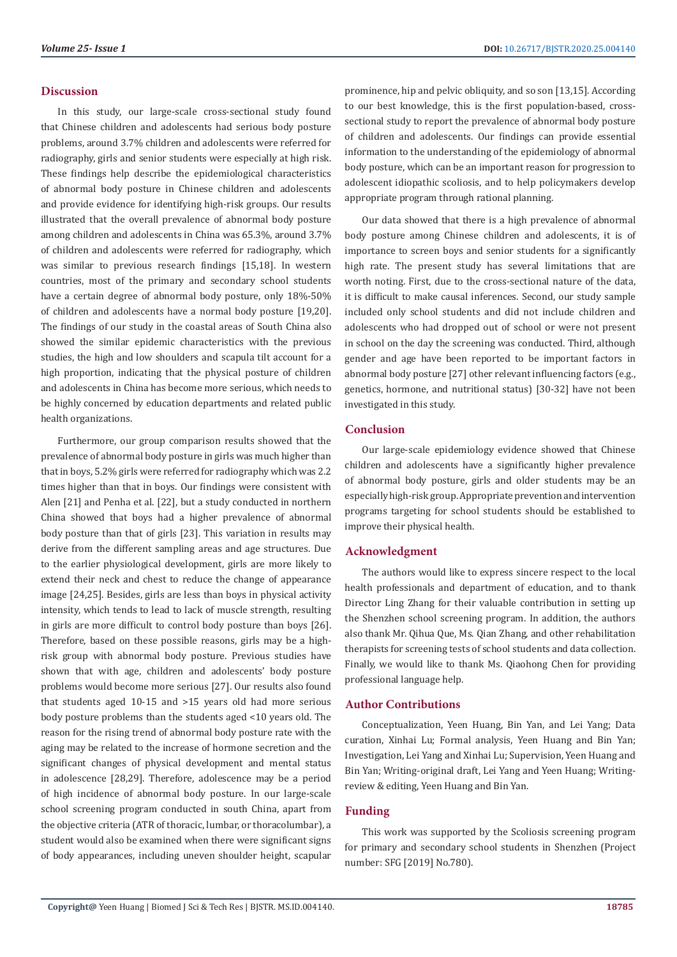### **Discussion**

In this study, our large-scale cross-sectional study found that Chinese children and adolescents had serious body posture problems, around 3.7% children and adolescents were referred for radiography, girls and senior students were especially at high risk. These findings help describe the epidemiological characteristics of abnormal body posture in Chinese children and adolescents and provide evidence for identifying high-risk groups. Our results illustrated that the overall prevalence of abnormal body posture among children and adolescents in China was 65.3%, around 3.7% of children and adolescents were referred for radiography, which was similar to previous research findings [15,18]. In western countries, most of the primary and secondary school students have a certain degree of abnormal body posture, only 18%-50% of children and adolescents have a normal body posture [19,20]. The findings of our study in the coastal areas of South China also showed the similar epidemic characteristics with the previous studies, the high and low shoulders and scapula tilt account for a high proportion, indicating that the physical posture of children and adolescents in China has become more serious, which needs to be highly concerned by education departments and related public health organizations.

Furthermore, our group comparison results showed that the prevalence of abnormal body posture in girls was much higher than that in boys, 5.2% girls were referred for radiography which was 2.2 times higher than that in boys. Our findings were consistent with Alen [21] and Penha et al. [22], but a study conducted in northern China showed that boys had a higher prevalence of abnormal body posture than that of girls [23]. This variation in results may derive from the different sampling areas and age structures. Due to the earlier physiological development, girls are more likely to extend their neck and chest to reduce the change of appearance image [24,25]. Besides, girls are less than boys in physical activity intensity, which tends to lead to lack of muscle strength, resulting in girls are more difficult to control body posture than boys [26]. Therefore, based on these possible reasons, girls may be a highrisk group with abnormal body posture. Previous studies have shown that with age, children and adolescents' body posture problems would become more serious [27]. Our results also found that students aged 10-15 and >15 years old had more serious body posture problems than the students aged <10 years old. The reason for the rising trend of abnormal body posture rate with the aging may be related to the increase of hormone secretion and the significant changes of physical development and mental status in adolescence [28,29]. Therefore, adolescence may be a period of high incidence of abnormal body posture. In our large-scale school screening program conducted in south China, apart from the objective criteria (ATR of thoracic, lumbar, or thoracolumbar), a student would also be examined when there were significant signs of body appearances, including uneven shoulder height, scapular

prominence, hip and pelvic obliquity, and so son [13,15]. According to our best knowledge, this is the first population-based, crosssectional study to report the prevalence of abnormal body posture of children and adolescents. Our findings can provide essential information to the understanding of the epidemiology of abnormal body posture, which can be an important reason for progression to adolescent idiopathic scoliosis, and to help policymakers develop appropriate program through rational planning.

Our data showed that there is a high prevalence of abnormal body posture among Chinese children and adolescents, it is of importance to screen boys and senior students for a significantly high rate. The present study has several limitations that are worth noting. First, due to the cross-sectional nature of the data, it is difficult to make causal inferences. Second, our study sample included only school students and did not include children and adolescents who had dropped out of school or were not present in school on the day the screening was conducted. Third, although gender and age have been reported to be important factors in abnormal body posture [27] other relevant influencing factors (e.g., genetics, hormone, and nutritional status) [30-32] have not been investigated in this study.

### **Conclusion**

Our large-scale epidemiology evidence showed that Chinese children and adolescents have a significantly higher prevalence of abnormal body posture, girls and older students may be an especially high-risk group. Appropriate prevention and intervention programs targeting for school students should be established to improve their physical health.

### **Acknowledgment**

The authors would like to express sincere respect to the local health professionals and department of education, and to thank Director Ling Zhang for their valuable contribution in setting up the Shenzhen school screening program. In addition, the authors also thank Mr. Qihua Que, Ms. Qian Zhang, and other rehabilitation therapists for screening tests of school students and data collection. Finally, we would like to thank Ms. Qiaohong Chen for providing professional language help.

### **Author Contributions**

Conceptualization, Yeen Huang, Bin Yan, and Lei Yang; Data curation, Xinhai Lu; Formal analysis, Yeen Huang and Bin Yan; Investigation, Lei Yang and Xinhai Lu; Supervision, Yeen Huang and Bin Yan; Writing-original draft, Lei Yang and Yeen Huang; Writingreview & editing, Yeen Huang and Bin Yan.

### **Funding**

This work was supported by the Scoliosis screening program for primary and secondary school students in Shenzhen (Project number: SFG [2019] No.780).